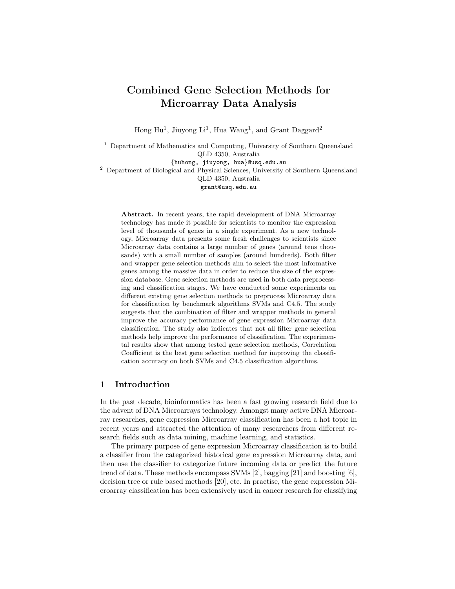# Combined Gene Selection Methods for Microarray Data Analysis

Hong Hu<sup>1</sup>, Jiuyong Li<sup>1</sup>, Hua Wang<sup>1</sup>, and Grant Daggard<sup>2</sup>

<sup>1</sup> Department of Mathematics and Computing, University of Southern Queensland QLD 4350, Australia {huhong, jiuyong, hua}@usq.edu.au

<sup>2</sup> Department of Biological and Physical Sciences, University of Southern Queensland QLD 4350, Australia

grant@usq.edu.au

Abstract. In recent years, the rapid development of DNA Microarray technology has made it possible for scientists to monitor the expression level of thousands of genes in a single experiment. As a new technology, Microarray data presents some fresh challenges to scientists since Microarray data contains a large number of genes (around tens thousands) with a small number of samples (around hundreds). Both filter and wrapper gene selection methods aim to select the most informative genes among the massive data in order to reduce the size of the expression database. Gene selection methods are used in both data preprocessing and classification stages. We have conducted some experiments on different existing gene selection methods to preprocess Microarray data for classification by benchmark algorithms SVMs and C4.5. The study suggests that the combination of filter and wrapper methods in general improve the accuracy performance of gene expression Microarray data classification. The study also indicates that not all filter gene selection methods help improve the performance of classification. The experimental results show that among tested gene selection methods, Correlation Coefficient is the best gene selection method for improving the classification accuracy on both SVMs and C4.5 classification algorithms.

#### 1 Introduction

In the past decade, bioinformatics has been a fast growing research field due to the advent of DNA Microarrays technology. Amongst many active DNA Microarray researches, gene expression Microarray classification has been a hot topic in recent years and attracted the attention of many researchers from different research fields such as data mining, machine learning, and statistics.

The primary purpose of gene expression Microarray classification is to build a classifier from the categorized historical gene expression Microarray data, and then use the classifier to categorize future incoming data or predict the future trend of data. These methods encompass SVMs [2], bagging [21] and boosting [6], decision tree or rule based methods [20], etc. In practise, the gene expression Microarray classification has been extensively used in cancer research for classifying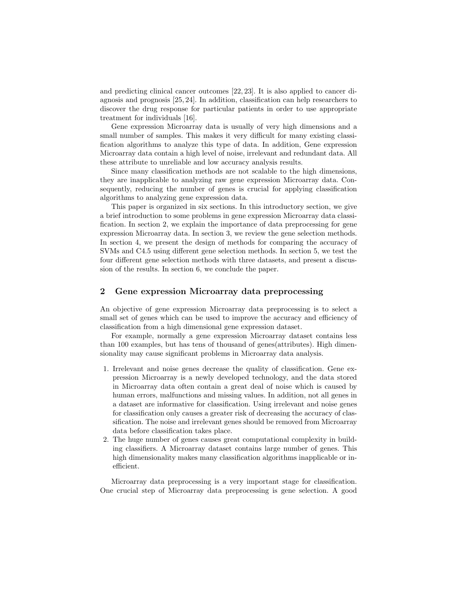and predicting clinical cancer outcomes [22, 23]. It is also applied to cancer diagnosis and prognosis [25, 24]. In addition, classification can help researchers to discover the drug response for particular patients in order to use appropriate treatment for individuals [16].

Gene expression Microarray data is usually of very high dimensions and a small number of samples. This makes it very difficult for many existing classification algorithms to analyze this type of data. In addition, Gene expression Microarray data contain a high level of noise, irrelevant and redundant data. All these attribute to unreliable and low accuracy analysis results.

Since many classification methods are not scalable to the high dimensions, they are inapplicable to analyzing raw gene expression Microarray data. Consequently, reducing the number of genes is crucial for applying classification algorithms to analyzing gene expression data.

This paper is organized in six sections. In this introductory section, we give a brief introduction to some problems in gene expression Microarray data classification. In section 2, we explain the importance of data preprocessing for gene expression Microarray data. In section 3, we review the gene selection methods. In section 4, we present the design of methods for comparing the accuracy of SVMs and C4.5 using different gene selection methods. In section 5, we test the four different gene selection methods with three datasets, and present a discussion of the results. In section 6, we conclude the paper.

## 2 Gene expression Microarray data preprocessing

An objective of gene expression Microarray data preprocessing is to select a small set of genes which can be used to improve the accuracy and efficiency of classification from a high dimensional gene expression dataset.

For example, normally a gene expression Microarray dataset contains less than 100 examples, but has tens of thousand of genes(attributes). High dimensionality may cause significant problems in Microarray data analysis.

- 1. Irrelevant and noise genes decrease the quality of classification. Gene expression Microarray is a newly developed technology, and the data stored in Microarray data often contain a great deal of noise which is caused by human errors, malfunctions and missing values. In addition, not all genes in a dataset are informative for classification. Using irrelevant and noise genes for classification only causes a greater risk of decreasing the accuracy of classification. The noise and irrelevant genes should be removed from Microarray data before classification takes place.
- 2. The huge number of genes causes great computational complexity in building classifiers. A Microarray dataset contains large number of genes. This high dimensionality makes many classification algorithms inapplicable or inefficient.

Microarray data preprocessing is a very important stage for classification. One crucial step of Microarray data preprocessing is gene selection. A good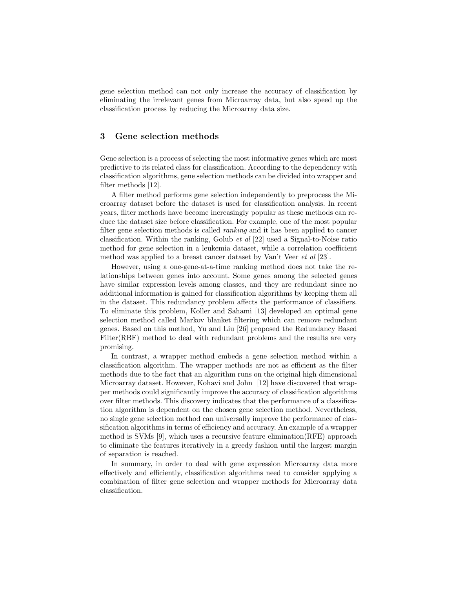gene selection method can not only increase the accuracy of classification by eliminating the irrelevant genes from Microarray data, but also speed up the classification process by reducing the Microarray data size.

#### 3 Gene selection methods

Gene selection is a process of selecting the most informative genes which are most predictive to its related class for classification. According to the dependency with classification algorithms, gene selection methods can be divided into wrapper and filter methods [12].

A filter method performs gene selection independently to preprocess the Microarray dataset before the dataset is used for classification analysis. In recent years, filter methods have become increasingly popular as these methods can reduce the dataset size before classification. For example, one of the most popular filter gene selection methods is called ranking and it has been applied to cancer classification. Within the ranking, Golub *et al*  $[22]$  used a Signal-to-Noise ratio method for gene selection in a leukemia dataset, while a correlation coefficient method was applied to a breast cancer dataset by Van't Veer et al [23].

However, using a one-gene-at-a-time ranking method does not take the relationships between genes into account. Some genes among the selected genes have similar expression levels among classes, and they are redundant since no additional information is gained for classification algorithms by keeping them all in the dataset. This redundancy problem affects the performance of classifiers. To eliminate this problem, Koller and Sahami [13] developed an optimal gene selection method called Markov blanket filtering which can remove redundant genes. Based on this method, Yu and Liu [26] proposed the Redundancy Based Filter(RBF) method to deal with redundant problems and the results are very promising.

In contrast, a wrapper method embeds a gene selection method within a classification algorithm. The wrapper methods are not as efficient as the filter methods due to the fact that an algorithm runs on the original high dimensional Microarray dataset. However, Kohavi and John [12] have discovered that wrapper methods could significantly improve the accuracy of classification algorithms over filter methods. This discovery indicates that the performance of a classification algorithm is dependent on the chosen gene selection method. Nevertheless, no single gene selection method can universally improve the performance of classification algorithms in terms of efficiency and accuracy. An example of a wrapper method is SVMs [9], which uses a recursive feature elimination(RFE) approach to eliminate the features iteratively in a greedy fashion until the largest margin of separation is reached.

In summary, in order to deal with gene expression Microarray data more effectively and efficiently, classification algorithms need to consider applying a combination of filter gene selection and wrapper methods for Microarray data classification.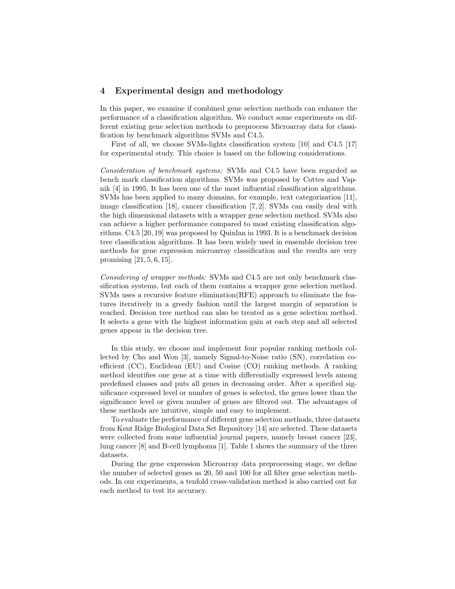#### 4 Experimental design and methodology

In this paper, we examine if combined gene selection methods can enhance the performance of a classification algorithm. We conduct some experiments on different existing gene selection methods to preprocess Microarray data for classification by benchmark algorithms SVMs and C4.5.

First of all, we choose SVMs-lights classification system [10] and C4.5 [17] for experimental study. This choice is based on the following considerations.

Consideration of benchmark systems: SVMs and C4.5 have been regarded as bench mark classification algorithms. SVMs was proposed by Cottes and Vapnik [4] in 1995. It has been one of the most influential classification algorithms. SVMs has been applied to many domains, for example, text categorization [11], image classification [18], cancer classification [7, 2]. SVMs can easily deal with the high dimensional datasets with a wrapper gene selection method. SVMs also can achieve a higher performance compared to most existing classification algorithms. C4.5 [20, 19] was proposed by Quinlan in 1993. It is a benchmark decision tree classification algorithms. It has been widely used in ensemble decision tree methods for gene expression microarray classification and the results are very promising [21, 5, 6, 15].

Considering of wrapper methods: SVMs and C4.5 are not only benchmark classification systems, but each of them contains a wrapper gene selection method. SVMs uses a recursive feature elimination(RFE) approach to eliminate the features iteratively in a greedy fashion until the largest margin of separation is reached. Decision tree method can also be treated as a gene selection method. It selects a gene with the highest information gain at each step and all selected genes appear in the decision tree.

In this study, we choose and implement four popular ranking methods collected by Cho and Won [3], namely Signal-to-Noise ratio (SN), correlation coefficient (CC), Euclidean (EU) and Cosine (CO) ranking methods. A ranking method identifies one gene at a time with differentially expressed levels among predefined classes and puts all genes in decreasing order. After a specified significance expressed level or number of genes is selected, the genes lower than the significance level or given number of genes are filtered out. The advantages of these methods are intuitive, simple and easy to implement.

To evaluate the performance of different gene selection methods, three datasets from Kent Ridge Biological Data Set Repository [14] are selected. These datasets were collected from some influential journal papers, namely breast cancer [23], lung cancer [8] and B-cell lymphoma [1]. Table 1 shows the summary of the three datasets.

During the gene expression Microarray data preprocessing stage, we define the number of selected genes as 20, 50 and 100 for all filter gene selection methods. In our experiments, a tenfold cross-validation method is also carried out for each method to test its accuracy.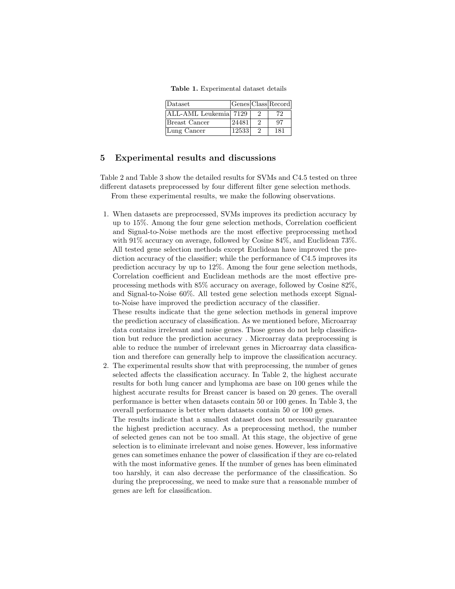Table 1. Experimental dataset details

| Dataset               |       | Genes Class Record |
|-----------------------|-------|--------------------|
| ALL-AML Leukemia 7129 |       | 72                 |
| Breast Cancer         | 24481 | 97                 |
| Lung Cancer           | 12533 | 181                |

#### 5 Experimental results and discussions

Table 2 and Table 3 show the detailed results for SVMs and C4.5 tested on three different datasets preprocessed by four different filter gene selection methods. From these experimental results, we make the following observations.

1. When datasets are preprocessed, SVMs improves its prediction accuracy by up to 15%. Among the four gene selection methods, Correlation coefficient and Signal-to-Noise methods are the most effective preprocessing method with 91% accuracy on average, followed by Cosine 84%, and Euclidean 73%. All tested gene selection methods except Euclidean have improved the prediction accuracy of the classifier; while the performance of C4.5 improves its prediction accuracy by up to 12%. Among the four gene selection methods, Correlation coefficient and Euclidean methods are the most effective preprocessing methods with 85% accuracy on average, followed by Cosine 82%, and Signal-to-Noise 60%. All tested gene selection methods except Signalto-Noise have improved the prediction accuracy of the classifier.

These results indicate that the gene selection methods in general improve the prediction accuracy of classification. As we mentioned before, Microarray data contains irrelevant and noise genes. Those genes do not help classification but reduce the prediction accuracy . Microarray data preprocessing is able to reduce the number of irrelevant genes in Microarray data classification and therefore can generally help to improve the classification accuracy.

2. The experimental results show that with preprocessing, the number of genes selected affects the classification accuracy. In Table 2, the highest accurate results for both lung cancer and lymphoma are base on 100 genes while the highest accurate results for Breast cancer is based on 20 genes. The overall performance is better when datasets contain 50 or 100 genes. In Table 3, the overall performance is better when datasets contain 50 or 100 genes.

The results indicate that a smallest dataset does not necessarily guarantee the highest prediction accuracy. As a preprocessing method, the number of selected genes can not be too small. At this stage, the objective of gene selection is to eliminate irrelevant and noise genes. However, less informative genes can sometimes enhance the power of classification if they are co-related with the most informative genes. If the number of genes has been eliminated too harshly, it can also decrease the performance of the classification. So during the preprocessing, we need to make sure that a reasonable number of genes are left for classification.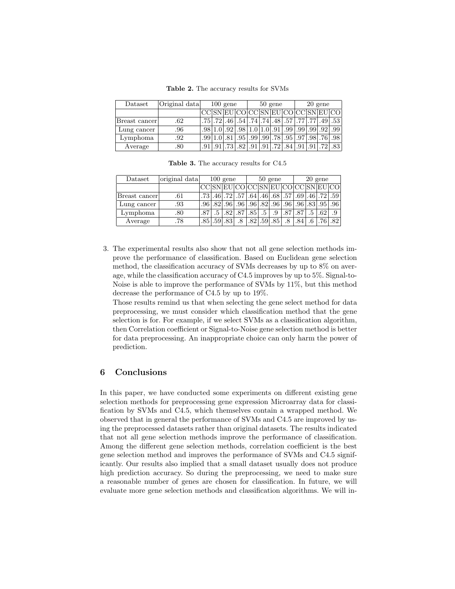| Dataset       | Original data | $100$ gene       |          |      | $50 \text{ gene}$                                                             |           |  |                                       | $20 \text{ gene}$                     |                                       |  |     |                  |
|---------------|---------------|------------------|----------|------|-------------------------------------------------------------------------------|-----------|--|---------------------------------------|---------------------------------------|---------------------------------------|--|-----|------------------|
|               |               |                  |          |      | CCSNEUCOCSNEUCOCSNEUCO                                                        |           |  |                                       |                                       |                                       |  |     |                  |
| Breast cancer | .62           |                  |          |      | $.75$ , $.72$ , $.46$ , $.54$ , $.74$ , $.74$ , $.48$ , $.57$ , $.77$ , $.77$ |           |  |                                       |                                       |                                       |  |     | $.49$ .53        |
| Lung cancer   | .96           |                  |          |      | .98 1.0 .92 .98 1.0 1.0 .91                                                   |           |  |                                       | $.99$   $.99$   $.99$   $.92$   $.99$ |                                       |  |     |                  |
| Lymphoma      | .92           |                  | .9911.01 |      |                                                                               |           |  | $.95 \mid .99 \mid .99 \mid .78 \mid$ |                                       | $.95 \mid .97 \mid .98 \mid .76 \mid$ |  |     | .98 <sup>1</sup> |
| Average       | .80           | .91 <sup>1</sup> |          | .731 | .82                                                                           | $\pm .91$ |  | .72 <sub>1</sub>                      | .84 <sup>°</sup>                      | .91 <sub>1</sub>                      |  | 791 | .831             |

Table 2. The accuracy results for SVMs

Table 3. The accuracy results for C4.5

| Dataset       | original data | $100$ gene |              |                       |                                                                                                       | $50 \text{ gene}$ |        |              |                                                               | $20$ gene |                 |      |           |
|---------------|---------------|------------|--------------|-----------------------|-------------------------------------------------------------------------------------------------------|-------------------|--------|--------------|---------------------------------------------------------------|-----------|-----------------|------|-----------|
|               |               |            |              |                       | CC SN EU CO CC SN EU CO CC SN EU CO                                                                   |                   |        |              |                                                               |           |                 |      |           |
| Breast cancer | .61           |            |              |                       | $.73$ , $.46$ , $.72$ , $.57$                                                                         |                   |        |              | $.64$ , $.46$ , $.68$ , $.57$ , $.69$ , $.46$ , $.72$ , $.59$ |           |                 |      |           |
| Lung cancer   | .93           |            |              |                       | $.96$ , $.82$ , $.96$ , $.96$ , $.96$ , $.82$ , $.96$ , $.96$ , $.96$ , $.96$ , $.83$ , $.95$ , $.96$ |                   |        |              |                                                               |           |                 |      |           |
| Lymphoma      | .80           | .87        | $.5^{\circ}$ |                       | $.82$ $.87$ $\mid$                                                                                    | .85               | $.5\,$ | .9           | $.87$ .87                                                     |           | 5.              | .62' | .9        |
| Average       | .78           |            |              | $.85$ , $.59$ , $.83$ | .8                                                                                                    |                   |        | $.82$ .59.85 | .8                                                            | .84 I     | .6 <sup>1</sup> |      | $.76$ .82 |

3. The experimental results also show that not all gene selection methods improve the performance of classification. Based on Euclidean gene selection method, the classification accuracy of SVMs decreases by up to 8% on average, while the classification accuracy of C4.5 improves by up to 5%. Signal-to-Noise is able to improve the performance of SVMs by 11%, but this method decrease the performance of C4.5 by up to 19%.

Those results remind us that when selecting the gene select method for data preprocessing, we must consider which classification method that the gene selection is for. For example, if we select SVMs as a classification algorithm, then Correlation coefficient or Signal-to-Noise gene selection method is better for data preprocessing. An inappropriate choice can only harm the power of prediction.

### 6 Conclusions

In this paper, we have conducted some experiments on different existing gene selection methods for preprocessing gene expression Microarray data for classification by SVMs and C4.5, which themselves contain a wrapped method. We observed that in general the performance of SVMs and C4.5 are improved by using the preprocessed datasets rather than original datasets. The results indicated that not all gene selection methods improve the performance of classification. Among the different gene selection methods, correlation coefficient is the best gene selection method and improves the performance of SVMs and C4.5 significantly. Our results also implied that a small dataset usually does not produce high prediction accuracy. So during the preprocessing, we need to make sure a reasonable number of genes are chosen for classification. In future, we will evaluate more gene selection methods and classification algorithms. We will in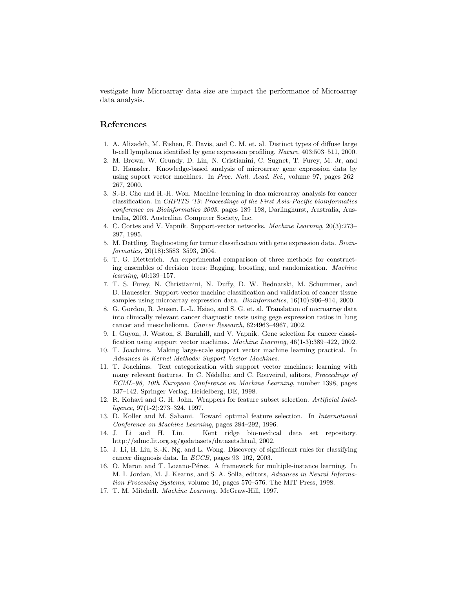vestigate how Microarray data size are impact the performance of Microarray data analysis.

#### References

- 1. A. Alizadeh, M. Eishen, E. Davis, and C. M. et. al. Distinct types of diffuse large b-cell lymphoma identified by gene expression profiling. Nature, 403:503–511, 2000.
- 2. M. Brown, W. Grundy, D. Lin, N. Cristianini, C. Sugnet, T. Furey, M. Jr, and D. Haussler. Knowledge-based analysis of microarray gene expression data by using suport vector machines. In Proc. Natl. Acad. Sci., volume 97, pages 262– 267, 2000.
- 3. S.-B. Cho and H.-H. Won. Machine learning in dna microarray analysis for cancer classification. In CRPITS '19: Proceedings of the First Asia-Pacific bioinformatics conference on Bioinformatics 2003, pages 189–198, Darlinghurst, Australia, Australia, 2003. Australian Computer Society, Inc.
- 4. C. Cortes and V. Vapnik. Support-vector networks. Machine Learning, 20(3):273– 297, 1995.
- 5. M. Dettling. Bagboosting for tumor classification with gene expression data. Bioinformatics, 20(18):3583–3593, 2004.
- 6. T. G. Dietterich. An experimental comparison of three methods for constructing ensembles of decision trees: Bagging, boosting, and randomization. Machine learning, 40:139–157.
- 7. T. S. Furey, N. Christianini, N. Duffy, D. W. Bednarski, M. Schummer, and D. Hauessler. Support vector machine classification and validation of cancer tissue samples using microarray expression data. Bioinformatics, 16(10):906–914, 2000.
- 8. G. Gordon, R. Jensen, L.-L. Hsiao, and S. G. et. al. Translation of microarray data into clinically relevant cancer diagnostic tests using gege expression ratios in lung cancer and mesothelioma. Cancer Research, 62:4963–4967, 2002.
- 9. I. Guyon, J. Weston, S. Barnhill, and V. Vapnik. Gene selection for cancer classification using support vector machines. Machine Learning, 46(1-3):389–422, 2002.
- 10. T. Joachims. Making large-scale support vector machine learning practical. In Advances in Kernel Methods: Support Vector Machines.
- 11. T. Joachims. Text categorization with support vector machines: learning with many relevant features. In C. Nédellec and C. Rouveirol, editors, *Proceedings of* ECML-98, 10th European Conference on Machine Learning, number 1398, pages 137–142. Springer Verlag, Heidelberg, DE, 1998.
- 12. R. Kohavi and G. H. John. Wrappers for feature subset selection. Artificial Intelligence, 97(1-2):273–324, 1997.
- 13. D. Koller and M. Sahami. Toward optimal feature selection. In International Conference on Machine Learning, pages 284–292, 1996.
- 14. J. Li and H. Liu. Kent ridge bio-medical data set repository. http://sdmc.lit.org.sg/gedatasets/datasets.html, 2002.
- 15. J. Li, H. Liu, S.-K. Ng, and L. Wong. Discovery of significant rules for classifying cancer diagnosis data. In ECCB, pages 93–102, 2003.
- 16. O. Maron and T. Lozano-Pérez. A framework for multiple-instance learning. In M. I. Jordan, M. J. Kearns, and S. A. Solla, editors, Advances in Neural Information Processing Systems, volume 10, pages 570–576. The MIT Press, 1998.
- 17. T. M. Mitchell. Machine Learning. McGraw-Hill, 1997.